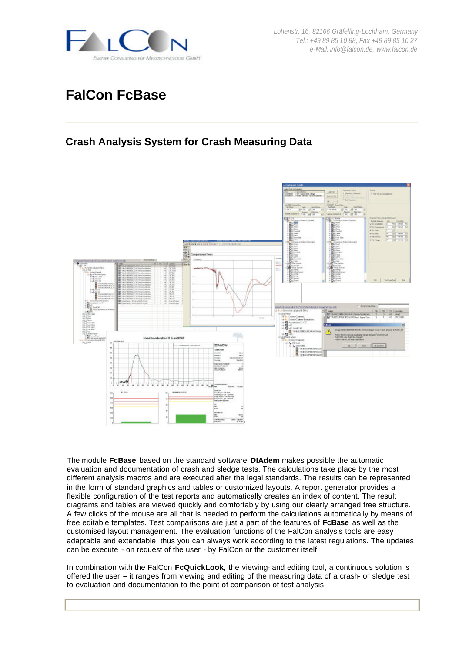

*Lohenstr. 16, 82166 Gräfelfing-Lochham, Germany Tel.: +49 89 85 10 88, Fax +49 89 85 10 27 e-Mail: info@falcon.de, www.falcon.de*

# **FalCon FcBase**

# **Crash Analysis System for Crash Measuring Data**



The module **FcBase** based on the standard software **DIAdem** makes possible the automatic evaluation and documentation of crash and sledge tests. The calculations take place by the most different analysis macros and are executed after the legal standards. The results can be represented in the form of standard graphics and tables or customized layouts. A report generator provides a flexible configuration of the test reports and automatically creates an index of content. The result diagrams and tables are viewed quickly and comfortably by using our clearly arranged tree structure. A few clicks of the mouse are all that is needed to perform the calculations automatically by means of free editable templates. Test comparisons are just a part of the features of **FcBase** as well as the customised layout management. The evaluation functions of the FalCon analysis tools are easy adaptable and extendable, thus you can always work according to the latest regulations. The updates can be execute - on request of the user - by FalCon or the customer itself.

In combination with the FalCon **FcQuickLook**, the viewing- and editing tool, a continuous solution is offered the user – it ranges from viewing and editing of the measuring data of a crash- or sledge test to evaluation and documentation to the point of comparison of test analysis.